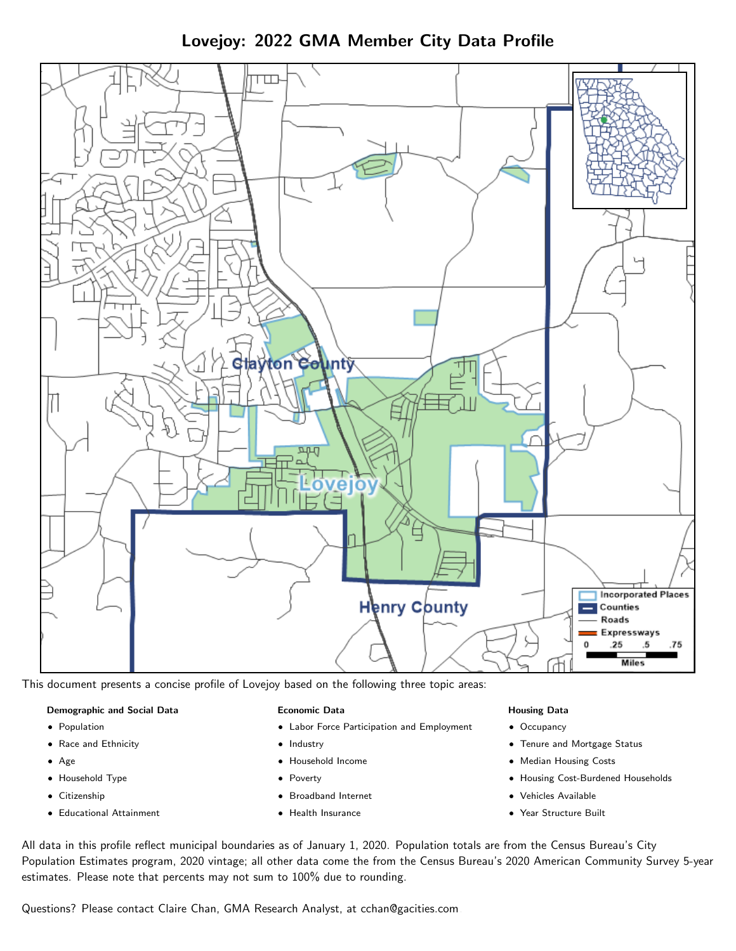Lovejoy: 2022 GMA Member City Data Profile



This document presents a concise profile of Lovejoy based on the following three topic areas:

#### Demographic and Social Data

- **•** Population
- Race and Ethnicity
- Age
- Household Type
- **Citizenship**
- Educational Attainment

#### Economic Data

- Labor Force Participation and Employment
- Industry
- Household Income
- Poverty
- Broadband Internet
- Health Insurance

#### Housing Data

- Occupancy
- Tenure and Mortgage Status
- Median Housing Costs
- Housing Cost-Burdened Households
- Vehicles Available
- Year Structure Built

All data in this profile reflect municipal boundaries as of January 1, 2020. Population totals are from the Census Bureau's City Population Estimates program, 2020 vintage; all other data come the from the Census Bureau's 2020 American Community Survey 5-year estimates. Please note that percents may not sum to 100% due to rounding.

Questions? Please contact Claire Chan, GMA Research Analyst, at [cchan@gacities.com.](mailto:cchan@gacities.com)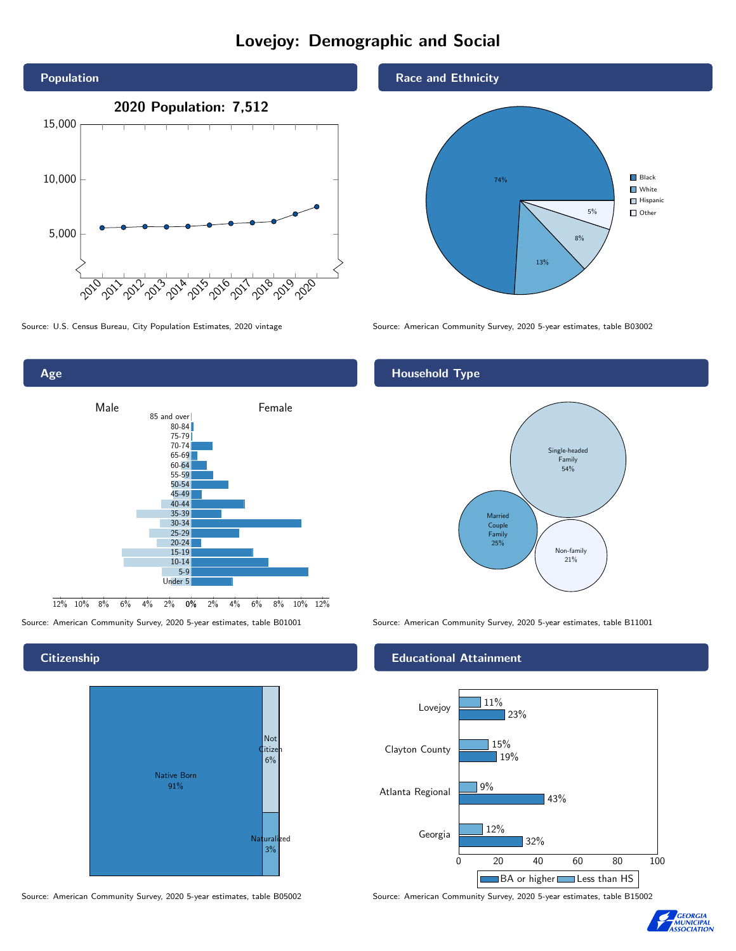## Lovejoy: Demographic and Social





## **Citizenship**



Source: American Community Survey, 2020 5-year estimates, table B05002 Source: American Community Survey, 2020 5-year estimates, table B15002



Source: U.S. Census Bureau, City Population Estimates, 2020 vintage Source: American Community Survey, 2020 5-year estimates, table B03002

## Household Type



Source: American Community Survey, 2020 5-year estimates, table B01001 Source: American Community Survey, 2020 5-year estimates, table B11001

#### Educational Attainment



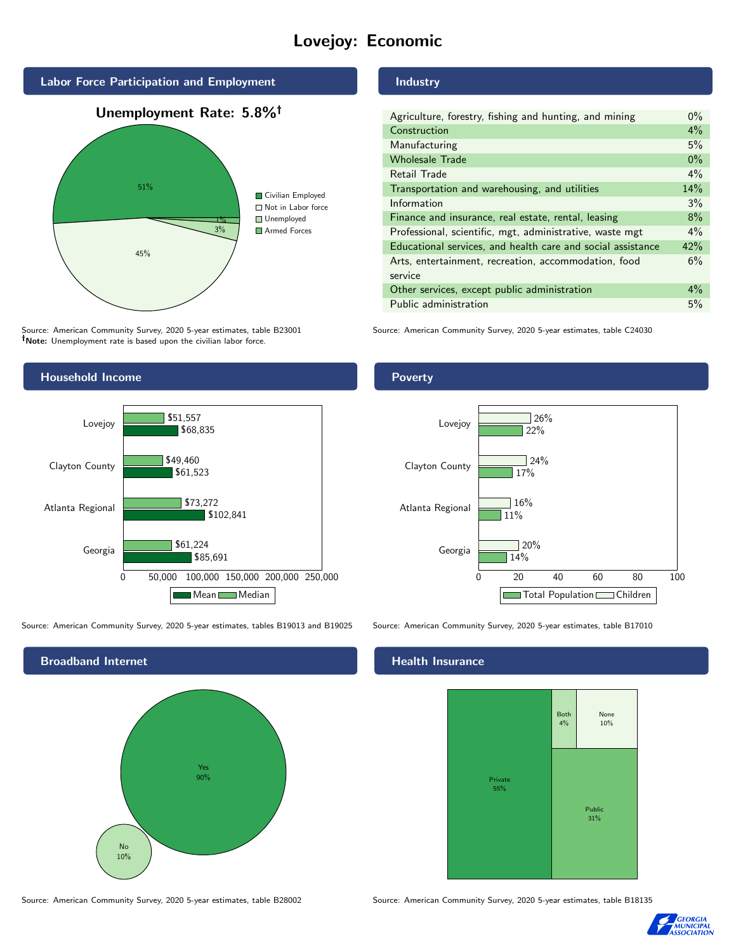# Lovejoy: Economic



Source: American Community Survey, 2020 5-year estimates, table B23001 Note: Unemployment rate is based upon the civilian labor force.

## Household Income 0 50,000 100,000 150,000 200,000 250,000 Georgia Atlanta Regional Clayton County Lovejoy \$85,691 \$102,841 \$61,523 \$68,835 \$61,224 \$73,272 \$49,460 \$51,557 Mean Median

Source: American Community Survey, 2020 5-year estimates, tables B19013 and B19025 Source: American Community Survey, 2020 5-year estimates, table B17010



## Industry

| Agriculture, forestry, fishing and hunting, and mining      | $0\%$ |
|-------------------------------------------------------------|-------|
| Construction                                                | $4\%$ |
| Manufacturing                                               | 5%    |
| <b>Wholesale Trade</b>                                      | $0\%$ |
| Retail Trade                                                | 4%    |
| Transportation and warehousing, and utilities               | 14%   |
| Information                                                 | 3%    |
| Finance and insurance, real estate, rental, leasing         | 8%    |
| Professional, scientific, mgt, administrative, waste mgt    | $4\%$ |
| Educational services, and health care and social assistance | 42%   |
| Arts, entertainment, recreation, accommodation, food        | 6%    |
| service                                                     |       |
| Other services, except public administration                | $4\%$ |
| Public administration                                       | 5%    |

Source: American Community Survey, 2020 5-year estimates, table C24030

### Poverty



#### Health Insurance



Source: American Community Survey, 2020 5-year estimates, table B28002 Source: American Community Survey, 2020 5-year estimates, table B18135